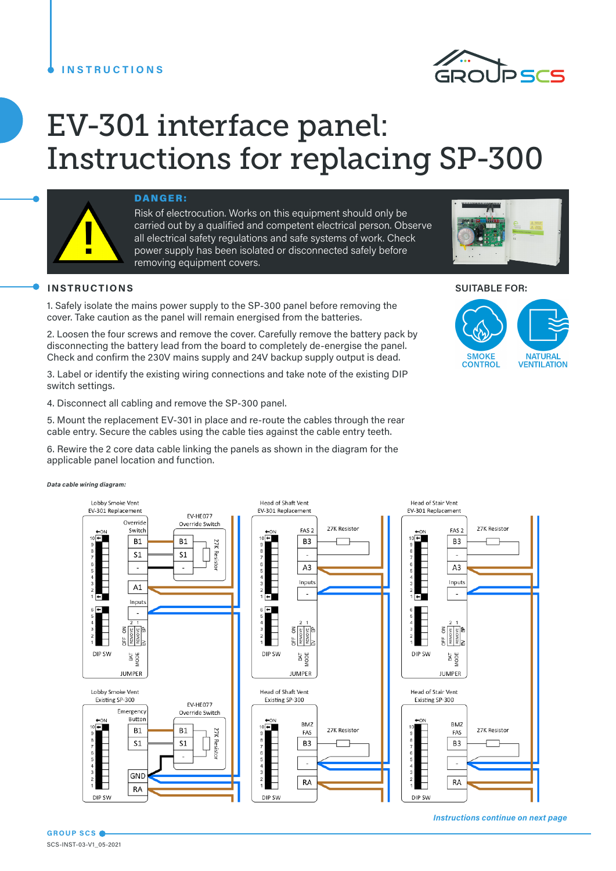## **INSTRUCTIONS**



# EV-301 interface panel: Instructions for replacing SP-300



# DANGER:

Risk of electrocution. Works on this equipment should only be carried out by a qualified and competent electrical person. Observe all electrical safety regulations and safe systems of work. Check power supply has been isolated or disconnected safely before removing equipment covers.



### **INSTRUCTIONS**

1. Safely isolate the mains power supply to the SP-300 panel before removing the cover. Take caution as the panel will remain energised from the batteries.

2. Loosen the four screws and remove the cover. Carefully remove the battery pack by disconnecting the battery lead from the board to completely de-energise the panel. Check and confirm the 230V mains supply and 24V backup supply output is dead.

3. Label or identify the existing wiring connections and take note of the existing DIP switch settings.

4. Disconnect all cabling and remove the SP-300 panel.

5. Mount the replacement EV-301 in place and re-route the cables through the rear cable entry. Secure the cables using the cable ties against the cable entry teeth.

6. Rewire the 2 core data cable linking the panels as shown in the diagram for the applicable panel location and function.

# **SUITABLE FOR:**

**SMOKE NATURAL VENTIL ATION CONTROL** 





**GROUP SCS** SCS-INST-03-V1\_05-2021

#### *Instructions continue on next page*